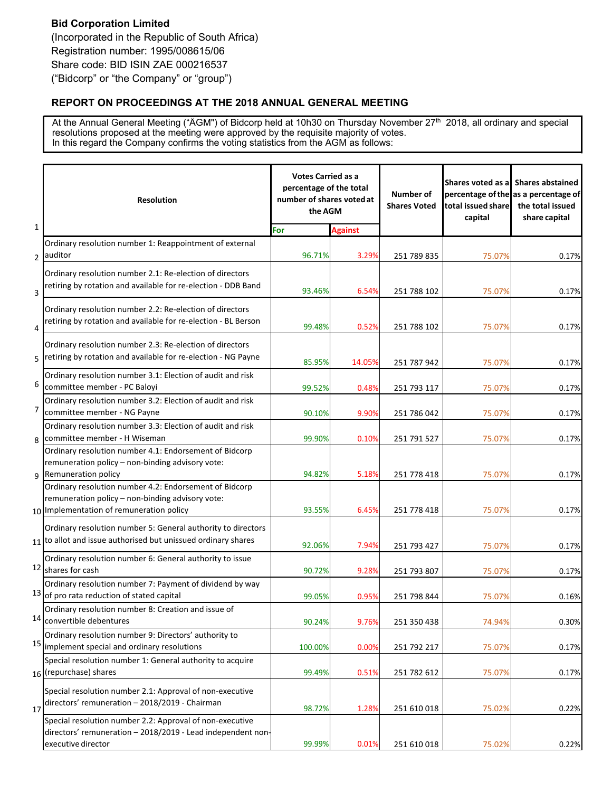## **REPORT ON PROCEEDINGS AT THE 2018 ANNUAL GENERAL MEETING**

At the Annual General Meeting ("ÄGM") of Bidcorp held at 10h30 on Thursday November 27<sup>th</sup> 2018, all ordinary and special resolutions proposed at the meeting were approved by the requisite majority of votes. In this regard the Company confirms the voting statistics from the AGM as follows:

|                | <b>Votes Carried as a</b><br>percentage of the total<br>number of shares voted at<br><b>Resolution</b><br>the AGM                                      |         | <b>Number of</b><br><b>Shares Voted</b> | Shares voted as a<br>total issued share<br>capital | <b>Shares abstained</b><br>percentage of the as a percentage of<br>the total issued<br>share capital |       |
|----------------|--------------------------------------------------------------------------------------------------------------------------------------------------------|---------|-----------------------------------------|----------------------------------------------------|------------------------------------------------------------------------------------------------------|-------|
| $\mathbf{1}$   |                                                                                                                                                        | For     | <b>Against</b>                          |                                                    |                                                                                                      |       |
|                | Ordinary resolution number 1: Reappointment of external<br>2 auditor                                                                                   | 96.71%  | 3.29%                                   | 251 789 835                                        | 75.07%                                                                                               | 0.17% |
| 3              | Ordinary resolution number 2.1: Re-election of directors<br>retiring by rotation and available for re-election - DDB Band                              | 93.46%  | 6.54%                                   | 251 788 102                                        | 75.07%                                                                                               | 0.17% |
| $\overline{4}$ | Ordinary resolution number 2.2: Re-election of directors<br>retiring by rotation and available for re-election - BL Berson                             | 99.48%  | 0.52%                                   | 251 788 102                                        | 75.07%                                                                                               | 0.17% |
| 5              | Ordinary resolution number 2.3: Re-election of directors<br>retiring by rotation and available for re-election - NG Payne                              | 85.95%  | 14.05%                                  | 251 787 942                                        | 75.07%                                                                                               | 0.17% |
| 6              | Ordinary resolution number 3.1: Election of audit and risk<br>committee member - PC Baloyi                                                             | 99.52%  | 0.48%                                   | 251 793 117                                        | 75.07%                                                                                               | 0.17% |
| $\overline{7}$ | Ordinary resolution number 3.2: Election of audit and risk<br>committee member - NG Payne                                                              | 90.10%  | 9.90%                                   | 251 786 042                                        | 75.07%                                                                                               | 0.17% |
|                | Ordinary resolution number 3.3: Election of audit and risk<br>8 committee member - H Wiseman                                                           | 99.90%  | 0.10%                                   | 251 791 527                                        | 75.07%                                                                                               | 0.17% |
|                | Ordinary resolution number 4.1: Endorsement of Bidcorp<br>remuneration policy - non-binding advisory vote:<br>9 Remuneration policy                    | 94.82%  | 5.18%                                   | 251 778 418                                        | 75.07%                                                                                               | 0.17% |
|                | Ordinary resolution number 4.2: Endorsement of Bidcorp<br>remuneration policy - non-binding advisory vote:<br>10 Implementation of remuneration policy | 93.55%  | 6.45%                                   | 251 778 418                                        | 75.07%                                                                                               | 0.17% |
|                | Ordinary resolution number 5: General authority to directors<br>$11$ to allot and issue authorised but unissued ordinary shares                        | 92.06%  | 7.94%                                   | 251 793 427                                        | 75.07%                                                                                               | 0.17% |
|                | Ordinary resolution number 6: General authority to issue<br>12 shares for cash                                                                         | 90.72%  | 9.28%                                   | 251 793 807                                        | 75.07%                                                                                               | 0.17% |
|                | Ordinary resolution number 7: Payment of dividend by way<br>$13$ of pro rata reduction of stated capital                                               | 99.05%  | 0.95%                                   | 251 798 844                                        | 75.07%                                                                                               | 0.16% |
|                | Ordinary resolution number 8: Creation and issue of<br>14 convertible debentures                                                                       | 90.24%  | 9.76%                                   | 251 350 438                                        | 74.94%                                                                                               | 0.30% |
| 15             | Ordinary resolution number 9: Directors' authority to<br>implement special and ordinary resolutions                                                    | 100.00% | 0.00%                                   | 251 792 217                                        | 75.07%                                                                                               | 0.17% |
|                | Special resolution number 1: General authority to acquire<br>16 (repurchase) shares                                                                    | 99.49%  | 0.51%                                   | 251 782 612                                        | 75.07%                                                                                               | 0.17% |
| 17             | Special resolution number 2.1: Approval of non-executive<br>directors' remuneration - 2018/2019 - Chairman                                             | 98.72%  | 1.28%                                   | 251 610 018                                        | 75.02%                                                                                               | 0.22% |
|                | Special resolution number 2.2: Approval of non-executive<br>directors' remuneration - 2018/2019 - Lead independent non-<br>executive director          | 99.99%  | 0.01%                                   | 251 610 018                                        | 75.02%                                                                                               | 0.22% |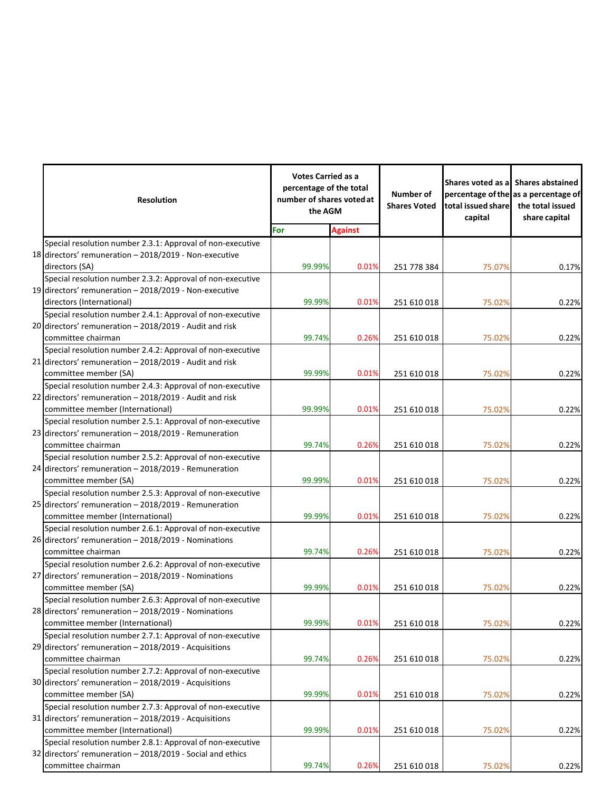|  | <b>Resolution</b>                                          | <b>Votes Carried as a</b><br>percentage of the total<br>number of shares voted at<br>the AGM |                | Number of<br><b>Shares Voted</b> | total issued share<br>capital | Shares voted as a Shares abstained<br>percentage of the as a percentage of<br>the total issued<br>share capital |
|--|------------------------------------------------------------|----------------------------------------------------------------------------------------------|----------------|----------------------------------|-------------------------------|-----------------------------------------------------------------------------------------------------------------|
|  |                                                            | For                                                                                          | <b>Against</b> |                                  |                               |                                                                                                                 |
|  | Special resolution number 2.3.1: Approval of non-executive |                                                                                              |                |                                  |                               |                                                                                                                 |
|  | 18 directors' remuneration - 2018/2019 - Non-executive     |                                                                                              |                |                                  |                               |                                                                                                                 |
|  | directors (SA)                                             | 99.99%                                                                                       | 0.01%          | 251 778 384                      | 75.07%                        | 0.17%                                                                                                           |
|  | Special resolution number 2.3.2: Approval of non-executive |                                                                                              |                |                                  |                               |                                                                                                                 |
|  | 19 directors' remuneration - 2018/2019 - Non-executive     |                                                                                              |                |                                  |                               |                                                                                                                 |
|  | directors (International)                                  | 99.99%                                                                                       | 0.01%          | 251 610 018                      | 75.02%                        | 0.22%                                                                                                           |
|  | Special resolution number 2.4.1: Approval of non-executive |                                                                                              |                |                                  |                               |                                                                                                                 |
|  | 20 directors' remuneration - 2018/2019 - Audit and risk    |                                                                                              |                |                                  |                               |                                                                                                                 |
|  | committee chairman                                         | 99.74%                                                                                       | 0.26%          | 251 610 018                      | 75.02%                        | 0.22%                                                                                                           |
|  | Special resolution number 2.4.2: Approval of non-executive |                                                                                              |                |                                  |                               |                                                                                                                 |
|  | 21 directors' remuneration - 2018/2019 - Audit and risk    |                                                                                              |                |                                  |                               |                                                                                                                 |
|  | committee member (SA)                                      | 99.99%                                                                                       | 0.01%          | 251 610 018                      | 75.02%                        | 0.22%                                                                                                           |
|  | Special resolution number 2.4.3: Approval of non-executive |                                                                                              |                |                                  |                               |                                                                                                                 |
|  | 22 directors' remuneration - 2018/2019 - Audit and risk    |                                                                                              |                |                                  |                               |                                                                                                                 |
|  | committee member (International)                           | 99.99%                                                                                       | 0.01%          | 251 610 018                      | 75.02%                        | 0.22%                                                                                                           |
|  | Special resolution number 2.5.1: Approval of non-executive |                                                                                              |                |                                  |                               |                                                                                                                 |
|  | 23 directors' remuneration - 2018/2019 - Remuneration      |                                                                                              |                |                                  |                               |                                                                                                                 |
|  | committee chairman                                         | 99.74%                                                                                       | 0.26%          | 251 610 018                      | 75.02%                        | 0.22%                                                                                                           |
|  | Special resolution number 2.5.2: Approval of non-executive |                                                                                              |                |                                  |                               |                                                                                                                 |
|  | 24 directors' remuneration - 2018/2019 - Remuneration      |                                                                                              |                |                                  |                               |                                                                                                                 |
|  | committee member (SA)                                      | 99.99%                                                                                       | 0.01%          | 251 610 018                      | 75.02%                        | 0.22%                                                                                                           |
|  | Special resolution number 2.5.3: Approval of non-executive |                                                                                              |                |                                  |                               |                                                                                                                 |
|  | 25 directors' remuneration - 2018/2019 - Remuneration      |                                                                                              |                |                                  |                               |                                                                                                                 |
|  | committee member (International)                           | 99.99%                                                                                       | 0.01%          | 251 610 018                      | 75.02%                        | 0.22%                                                                                                           |
|  | Special resolution number 2.6.1: Approval of non-executive |                                                                                              |                |                                  |                               |                                                                                                                 |
|  | 26 directors' remuneration - 2018/2019 - Nominations       |                                                                                              |                |                                  |                               |                                                                                                                 |
|  | committee chairman                                         | 99.74%                                                                                       | 0.26%          | 251 610 018                      | 75.02%                        | 0.22%                                                                                                           |
|  | Special resolution number 2.6.2: Approval of non-executive |                                                                                              |                |                                  |                               |                                                                                                                 |
|  | 27 directors' remuneration - 2018/2019 - Nominations       |                                                                                              |                |                                  |                               |                                                                                                                 |
|  | committee member (SA)                                      | 99.99%                                                                                       | 0.01%          | 251 610 018                      | 75.02%                        | 0.22%                                                                                                           |
|  | Special resolution number 2.6.3: Approval of non-executive |                                                                                              |                |                                  |                               |                                                                                                                 |
|  | 28 directors' remuneration - 2018/2019 - Nominations       |                                                                                              |                |                                  |                               |                                                                                                                 |
|  | committee member (International)                           | 99.99%                                                                                       | 0.01%          | 251 610 018                      | 75.02%                        | 0.22%                                                                                                           |
|  | Special resolution number 2.7.1: Approval of non-executive |                                                                                              |                |                                  |                               |                                                                                                                 |
|  | 29 directors' remuneration - 2018/2019 - Acquisitions      |                                                                                              |                |                                  |                               |                                                                                                                 |
|  | committee chairman                                         | 99.74%                                                                                       | 0.26%          | 251 610 018                      | 75.02%                        | 0.22%                                                                                                           |
|  | Special resolution number 2.7.2: Approval of non-executive |                                                                                              |                |                                  |                               |                                                                                                                 |
|  | 30 directors' remuneration - 2018/2019 - Acquisitions      |                                                                                              |                |                                  |                               |                                                                                                                 |
|  | committee member (SA)                                      | 99.99%                                                                                       | 0.01%          | 251 610 018                      | 75.02%                        | 0.22%                                                                                                           |
|  | Special resolution number 2.7.3: Approval of non-executive |                                                                                              |                |                                  |                               |                                                                                                                 |
|  | 31 directors' remuneration - 2018/2019 - Acquisitions      |                                                                                              |                |                                  |                               |                                                                                                                 |
|  | committee member (International)                           | 99.99%                                                                                       | 0.01%          | 251 610 018                      | 75.02%                        | 0.22%                                                                                                           |
|  | Special resolution number 2.8.1: Approval of non-executive |                                                                                              |                |                                  |                               |                                                                                                                 |
|  | 32 directors' remuneration - 2018/2019 - Social and ethics |                                                                                              |                |                                  |                               |                                                                                                                 |
|  | committee chairman                                         | 99.74%                                                                                       | 0.26%          | 251 610 018                      | 75.02%                        | 0.22%                                                                                                           |